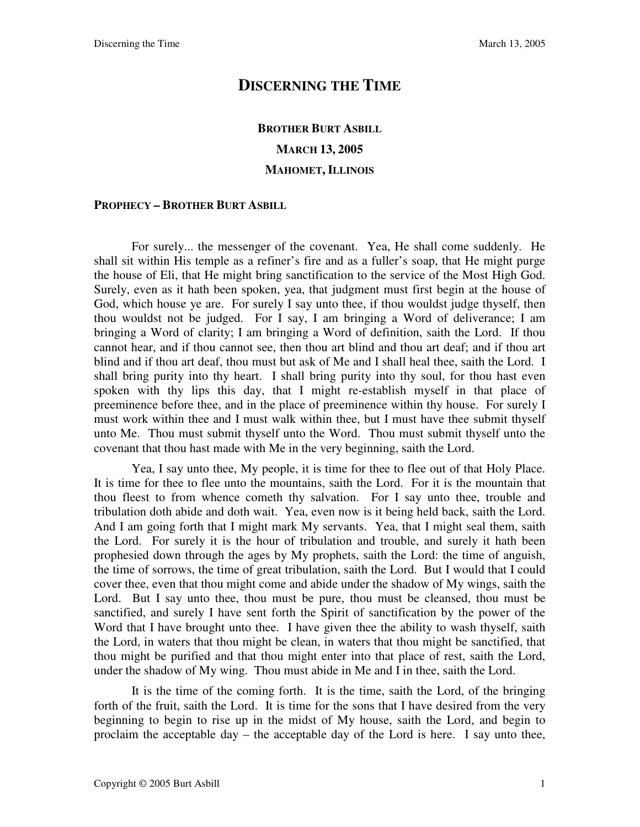## **DISCERNING THE TIME**

## **BROTHER BURT ASBILL MARCH 13, 2005 MAHOMET, ILLINOIS**

#### **PROPHECY – BROTHER BURT ASBILL**

For surely... the messenger of the covenant. Yea, He shall come suddenly. He shall sit within His temple as a refiner's fire and as a fuller's soap, that He might purge the house of Eli, that He might bring sanctification to the service of the Most High God. Surely, even as it hath been spoken, yea, that judgment must first begin at the house of God, which house ye are. For surely I say unto thee, if thou wouldst judge thyself, then thou wouldst not be judged. For I say, I am bringing a Word of deliverance; I am bringing a Word of clarity; I am bringing a Word of definition, saith the Lord. If thou cannot hear, and if thou cannot see, then thou art blind and thou art deaf; and if thou art blind and if thou art deaf, thou must but ask of Me and I shall heal thee, saith the Lord. I shall bring purity into thy heart. I shall bring purity into thy soul, for thou hast even spoken with thy lips this day, that I might re-establish myself in that place of preeminence before thee, and in the place of preeminence within thy house. For surely I must work within thee and I must walk within thee, but I must have thee submit thyself unto Me. Thou must submit thyself unto the Word. Thou must submit thyself unto the covenant that thou hast made with Me in the very beginning, saith the Lord.

Yea, I say unto thee, My people, it is time for thee to flee out of that Holy Place. It is time for thee to flee unto the mountains, saith the Lord. For it is the mountain that thou fleest to from whence cometh thy salvation. For I say unto thee, trouble and tribulation doth abide and doth wait. Yea, even now is it being held back, saith the Lord. And I am going forth that I might mark My servants. Yea, that I might seal them, saith the Lord. For surely it is the hour of tribulation and trouble, and surely it hath been prophesied down through the ages by My prophets, saith the Lord: the time of anguish, the time of sorrows, the time of great tribulation, saith the Lord. But I would that I could cover thee, even that thou might come and abide under the shadow of My wings, saith the Lord. But I say unto thee, thou must be pure, thou must be cleansed, thou must be sanctified, and surely I have sent forth the Spirit of sanctification by the power of the Word that I have brought unto thee. I have given thee the ability to wash thyself, saith the Lord, in waters that thou might be clean, in waters that thou might be sanctified, that thou might be purified and that thou might enter into that place of rest, saith the Lord, under the shadow of My wing. Thou must abide in Me and I in thee, saith the Lord.

It is the time of the coming forth. It is the time, saith the Lord, of the bringing forth of the fruit, saith the Lord. It is time for the sons that I have desired from the very beginning to begin to rise up in the midst of My house, saith the Lord, and begin to proclaim the acceptable day – the acceptable day of the Lord is here. I say unto thee,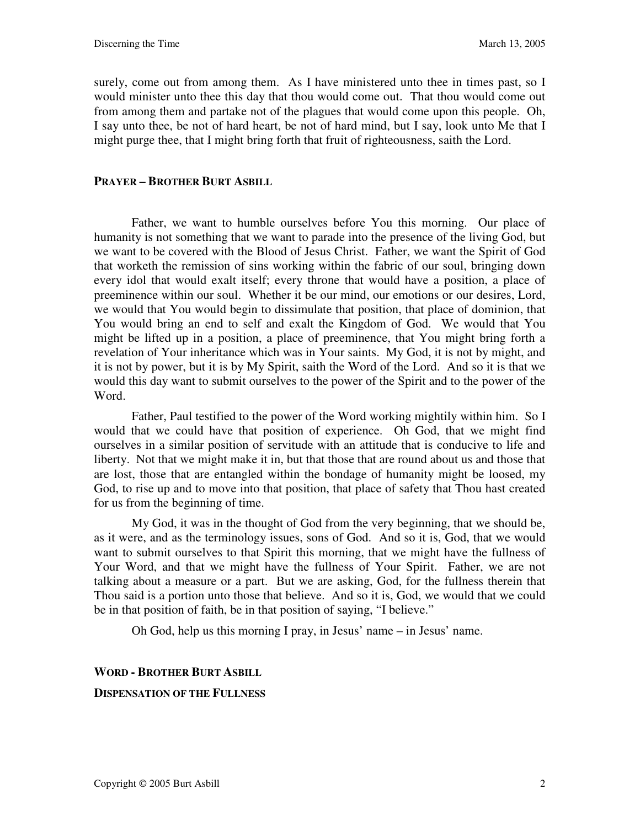surely, come out from among them. As I have ministered unto thee in times past, so I would minister unto thee this day that thou would come out. That thou would come out from among them and partake not of the plagues that would come upon this people. Oh, I say unto thee, be not of hard heart, be not of hard mind, but I say, look unto Me that I might purge thee, that I might bring forth that fruit of righteousness, saith the Lord.

#### **PRAYER – BROTHER BURT ASBILL**

Father, we want to humble ourselves before You this morning. Our place of humanity is not something that we want to parade into the presence of the living God, but we want to be covered with the Blood of Jesus Christ. Father, we want the Spirit of God that worketh the remission of sins working within the fabric of our soul, bringing down every idol that would exalt itself; every throne that would have a position, a place of preeminence within our soul. Whether it be our mind, our emotions or our desires, Lord, we would that You would begin to dissimulate that position, that place of dominion, that You would bring an end to self and exalt the Kingdom of God. We would that You might be lifted up in a position, a place of preeminence, that You might bring forth a revelation of Your inheritance which was in Your saints. My God, it is not by might, and it is not by power, but it is by My Spirit, saith the Word of the Lord. And so it is that we would this day want to submit ourselves to the power of the Spirit and to the power of the Word.

Father, Paul testified to the power of the Word working mightily within him. So I would that we could have that position of experience. Oh God, that we might find ourselves in a similar position of servitude with an attitude that is conducive to life and liberty. Not that we might make it in, but that those that are round about us and those that are lost, those that are entangled within the bondage of humanity might be loosed, my God, to rise up and to move into that position, that place of safety that Thou hast created for us from the beginning of time.

My God, it was in the thought of God from the very beginning, that we should be, as it were, and as the terminology issues, sons of God. And so it is, God, that we would want to submit ourselves to that Spirit this morning, that we might have the fullness of Your Word, and that we might have the fullness of Your Spirit. Father, we are not talking about a measure or a part. But we are asking, God, for the fullness therein that Thou said is a portion unto those that believe. And so it is, God, we would that we could be in that position of faith, be in that position of saying, "I believe."

Oh God, help us this morning I pray, in Jesus' name – in Jesus' name.

# **WORD - BROTHER BURT ASBILL**

#### **DISPENSATION OF THE FULLNESS**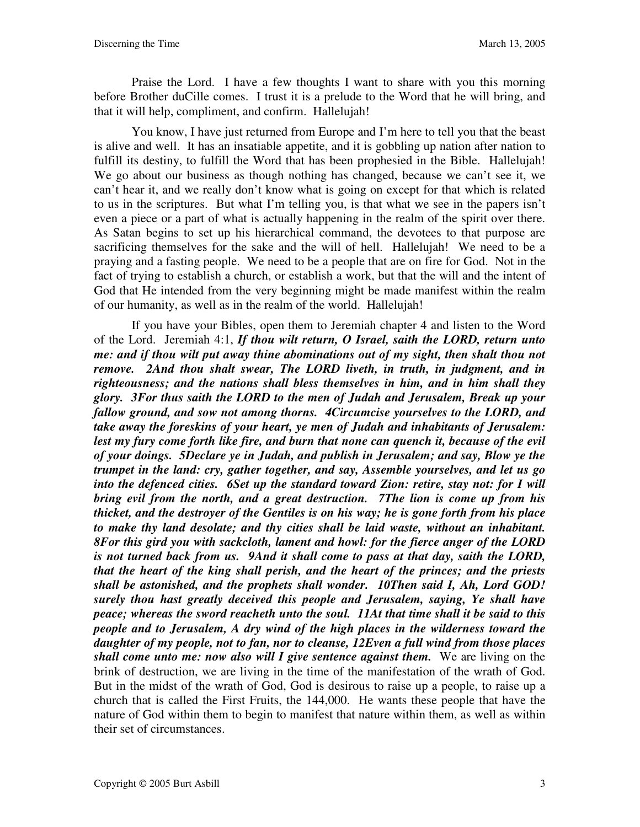Praise the Lord. I have a few thoughts I want to share with you this morning before Brother duCille comes. I trust it is a prelude to the Word that he will bring, and that it will help, compliment, and confirm. Hallelujah!

You know, I have just returned from Europe and I'm here to tell you that the beast is alive and well. It has an insatiable appetite, and it is gobbling up nation after nation to fulfill its destiny, to fulfill the Word that has been prophesied in the Bible. Hallelujah! We go about our business as though nothing has changed, because we can't see it, we can't hear it, and we really don't know what is going on except for that which is related to us in the scriptures. But what I'm telling you, is that what we see in the papers isn't even a piece or a part of what is actually happening in the realm of the spirit over there. As Satan begins to set up his hierarchical command, the devotees to that purpose are sacrificing themselves for the sake and the will of hell. Hallelujah! We need to be a praying and a fasting people. We need to be a people that are on fire for God. Not in the fact of trying to establish a church, or establish a work, but that the will and the intent of God that He intended from the very beginning might be made manifest within the realm of our humanity, as well as in the realm of the world. Hallelujah!

If you have your Bibles, open them to Jeremiah chapter 4 and listen to the Word of the Lord. Jeremiah 4:1, *If thou wilt return, O Israel, saith the LORD, return unto me: and if thou wilt put away thine abominations out of my sight, then shalt thou not remove. 2And thou shalt swear, The LORD liveth, in truth, in judgment, and in righteousness; and the nations shall bless themselves in him, and in him shall they glory. 3For thus saith the LORD to the men of Judah and Jerusalem, Break up your fallow ground, and sow not among thorns. 4Circumcise yourselves to the LORD, and take away the foreskins of your heart, ye men of Judah and inhabitants of Jerusalem:*  lest my fury come forth like fire, and burn that none can quench it, because of the evil *of your doings. 5Declare ye in Judah, and publish in Jerusalem; and say, Blow ye the trumpet in the land: cry, gather together, and say, Assemble yourselves, and let us go into the defenced cities. 6Set up the standard toward Zion: retire, stay not: for I will bring evil from the north, and a great destruction. 7The lion is come up from his thicket, and the destroyer of the Gentiles is on his way; he is gone forth from his place to make thy land desolate; and thy cities shall be laid waste, without an inhabitant. 8For this gird you with sackcloth, lament and howl: for the fierce anger of the LORD is not turned back from us. 9And it shall come to pass at that day, saith the LORD, that the heart of the king shall perish, and the heart of the princes; and the priests shall be astonished, and the prophets shall wonder. 10Then said I, Ah, Lord GOD! surely thou hast greatly deceived this people and Jerusalem, saying, Ye shall have peace; whereas the sword reacheth unto the soul. 11At that time shall it be said to this people and to Jerusalem, A dry wind of the high places in the wilderness toward the daughter of my people, not to fan, nor to cleanse, 12Even a full wind from those places shall come unto me: now also will I give sentence against them.* We are living on the brink of destruction, we are living in the time of the manifestation of the wrath of God. But in the midst of the wrath of God, God is desirous to raise up a people, to raise up a church that is called the First Fruits, the 144,000. He wants these people that have the nature of God within them to begin to manifest that nature within them, as well as within their set of circumstances.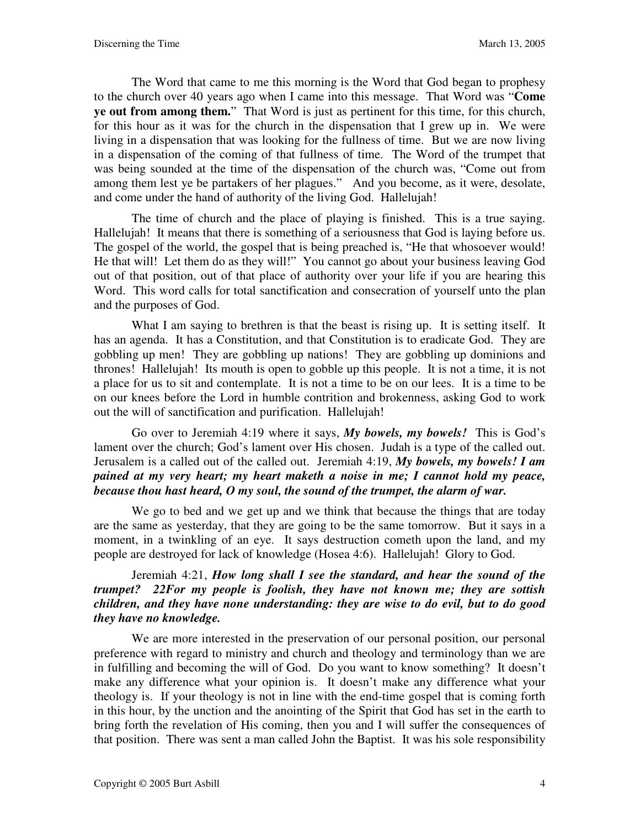The Word that came to me this morning is the Word that God began to prophesy to the church over 40 years ago when I came into this message. That Word was "**Come ye out from among them.**" That Word is just as pertinent for this time, for this church, for this hour as it was for the church in the dispensation that I grew up in. We were living in a dispensation that was looking for the fullness of time. But we are now living in a dispensation of the coming of that fullness of time. The Word of the trumpet that was being sounded at the time of the dispensation of the church was, "Come out from among them lest ye be partakers of her plagues." And you become, as it were, desolate, and come under the hand of authority of the living God. Hallelujah!

The time of church and the place of playing is finished. This is a true saying. Hallelujah! It means that there is something of a seriousness that God is laying before us. The gospel of the world, the gospel that is being preached is, "He that whosoever would! He that will! Let them do as they will!" You cannot go about your business leaving God out of that position, out of that place of authority over your life if you are hearing this Word. This word calls for total sanctification and consecration of yourself unto the plan and the purposes of God.

What I am saying to brethren is that the beast is rising up. It is setting itself. It has an agenda. It has a Constitution, and that Constitution is to eradicate God. They are gobbling up men! They are gobbling up nations! They are gobbling up dominions and thrones! Hallelujah! Its mouth is open to gobble up this people. It is not a time, it is not a place for us to sit and contemplate. It is not a time to be on our lees. It is a time to be on our knees before the Lord in humble contrition and brokenness, asking God to work out the will of sanctification and purification. Hallelujah!

Go over to Jeremiah 4:19 where it says, *My bowels, my bowels!* This is God's lament over the church; God's lament over His chosen. Judah is a type of the called out. Jerusalem is a called out of the called out. Jeremiah 4:19, *My bowels, my bowels! I am pained at my very heart; my heart maketh a noise in me; I cannot hold my peace, because thou hast heard, O my soul, the sound of the trumpet, the alarm of war.*

We go to bed and we get up and we think that because the things that are today are the same as yesterday, that they are going to be the same tomorrow. But it says in a moment, in a twinkling of an eye. It says destruction cometh upon the land, and my people are destroyed for lack of knowledge (Hosea 4:6). Hallelujah! Glory to God.

### Jeremiah 4:21, *How long shall I see the standard, and hear the sound of the trumpet? 22For my people is foolish, they have not known me; they are sottish children, and they have none understanding: they are wise to do evil, but to do good they have no knowledge.*

We are more interested in the preservation of our personal position, our personal preference with regard to ministry and church and theology and terminology than we are in fulfilling and becoming the will of God. Do you want to know something? It doesn't make any difference what your opinion is. It doesn't make any difference what your theology is. If your theology is not in line with the end-time gospel that is coming forth in this hour, by the unction and the anointing of the Spirit that God has set in the earth to bring forth the revelation of His coming, then you and I will suffer the consequences of that position. There was sent a man called John the Baptist. It was his sole responsibility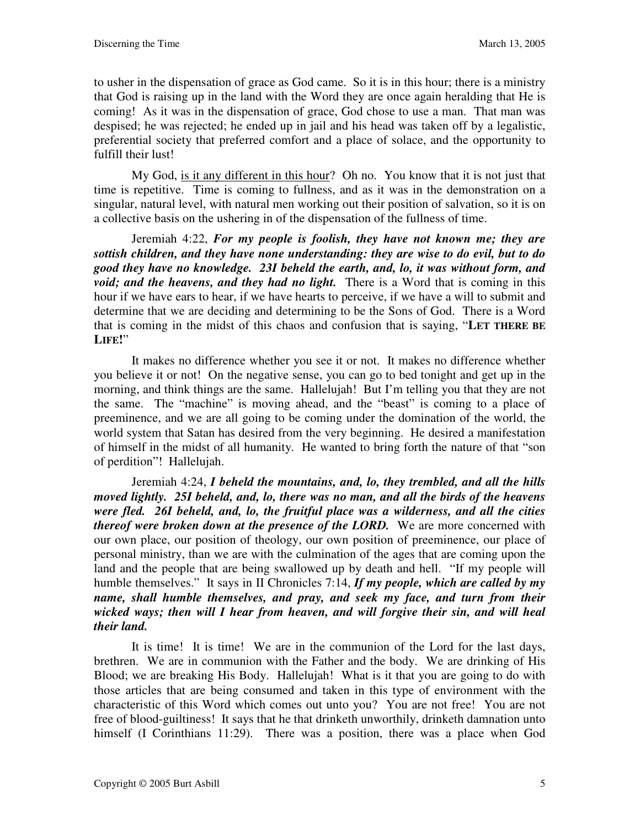to usher in the dispensation of grace as God came. So it is in this hour; there is a ministry that God is raising up in the land with the Word they are once again heralding that He is coming! As it was in the dispensation of grace, God chose to use a man. That man was despised; he was rejected; he ended up in jail and his head was taken off by a legalistic, preferential society that preferred comfort and a place of solace, and the opportunity to fulfill their lust!

My God, is it any different in this hour? Oh no. You know that it is not just that time is repetitive. Time is coming to fullness, and as it was in the demonstration on a singular, natural level, with natural men working out their position of salvation, so it is on a collective basis on the ushering in of the dispensation of the fullness of time.

Jeremiah 4:22, *For my people is foolish, they have not known me; they are sottish children, and they have none understanding: they are wise to do evil, but to do good they have no knowledge. 23I beheld the earth, and, lo, it was without form, and void; and the heavens, and they had no light.* There is a Word that is coming in this hour if we have ears to hear, if we have hearts to perceive, if we have a will to submit and determine that we are deciding and determining to be the Sons of God. There is a Word that is coming in the midst of this chaos and confusion that is saying, "**LET THERE BE LIFE!**"

It makes no difference whether you see it or not. It makes no difference whether you believe it or not! On the negative sense, you can go to bed tonight and get up in the morning, and think things are the same. Hallelujah! But I'm telling you that they are not the same. The "machine" is moving ahead, and the "beast" is coming to a place of preeminence, and we are all going to be coming under the domination of the world, the world system that Satan has desired from the very beginning. He desired a manifestation of himself in the midst of all humanity. He wanted to bring forth the nature of that "son of perdition"! Hallelujah.

Jeremiah 4:24, *I beheld the mountains, and, lo, they trembled, and all the hills moved lightly. 25I beheld, and, lo, there was no man, and all the birds of the heavens were fled. 26I beheld, and, lo, the fruitful place was a wilderness, and all the cities thereof were broken down at the presence of the LORD.* We are more concerned with our own place, our position of theology, our own position of preeminence, our place of personal ministry, than we are with the culmination of the ages that are coming upon the land and the people that are being swallowed up by death and hell. "If my people will humble themselves." It says in II Chronicles 7:14, If my people, which are called by my *name, shall humble themselves, and pray, and seek my face, and turn from their wicked ways; then will I hear from heaven, and will forgive their sin, and will heal their land.*

It is time! It is time! We are in the communion of the Lord for the last days, brethren. We are in communion with the Father and the body. We are drinking of His Blood; we are breaking His Body. Hallelujah! What is it that you are going to do with those articles that are being consumed and taken in this type of environment with the characteristic of this Word which comes out unto you? You are not free! You are not free of blood-guiltiness! It says that he that drinketh unworthily, drinketh damnation unto himself (I Corinthians 11:29). There was a position, there was a place when God